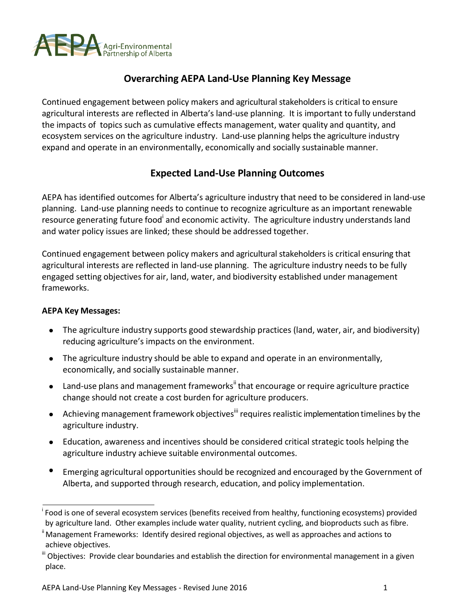

## **Overarching AEPA Land-Use Planning Key Message**

Continued engagement between policy makers and agricultural stakeholders is critical to ensure agricultural interests are reflected in Alberta's land-use planning. It is important to fully understand the impacts of topics such as cumulative effects management, water quality and quantity, and ecosystem services on the agriculture industry. Land-use planning helps the agriculture industry expand and operate in an environmentally, economically and socially sustainable manner.

## **Expected Land-Use Planning Outcomes**

AEPA has identified outcomes for Alberta's agriculture industry that need to be considered in land-use planning. Land-use planning needs to continue to recognize agriculture as an important renewable resource generating future food<sup>i</sup> and economic activity. The agriculture industry understands land and water policy issues are linked; these should be addressed together.

Continued engagement between policy makers and agricultural stakeholders is critical ensuring that agricultural interests are reflected in land-use planning. The agriculture industry needs to be fully engaged setting objectives for air, land, water, and biodiversity established under management frameworks.

- The agriculture industry supports good stewardship practices (land, water, air, and biodiversity) reducing agriculture's impacts on the environment.
- $\bullet$ The agriculture industry should be able to expand and operate in an environmentally, economically, and socially sustainable manner.
- $\bullet$  Land-use plans and management frameworks<sup>ii</sup> that encourage or require agriculture practice change should not create a cost burden for agriculture producers.
- Achieving management framework objectives<sup>iii</sup> requires realistic implementation timelines by the agriculture industry.
- Education, awareness and incentives should be considered critical strategic tools helping the agriculture industry achieve suitable environmental outcomes.
- Emerging agricultural opportunities should be recognized and encouraged by the Government of Alberta, and supported through research, education, and policy implementation.

<sup>&</sup>lt;sup>i</sup> Food is one of several ecosystem services (benefits received from healthy, functioning ecosystems) provided by agriculture land. Other examples include water quality, nutrient cycling, and bioproducts such as fibre.

 $\mathsf{^{\text{ii}}}$  Management Frameworks: Identify desired regional objectives, as well as approaches and actions to achieve objectives.

<sup>&</sup>lt;sup>iii</sup> Objectives: Provide clear boundaries and establish the direction for environmental management in a given place.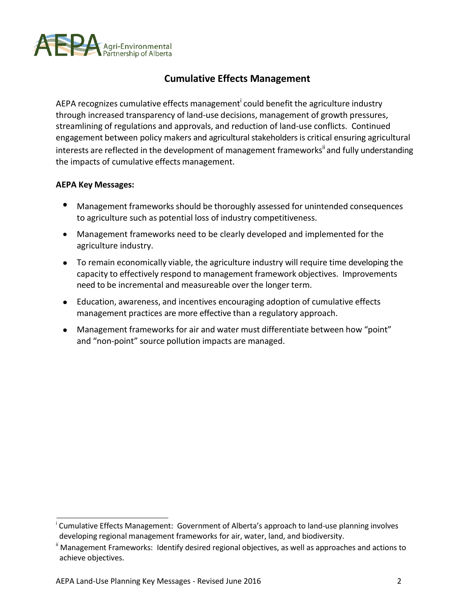

### **Cumulative Effects Management**

AEPA recognizes cumulative effects management<sup>i</sup> could benefit the agriculture industry through increased transparency of land-use decisions, management of growth pressures, streamlining of regulations and approvals, and reduction of land-use conflicts. Continued engagement between policy makers and agricultural stakeholders is critical ensuring agricultural interests are reflected in the development of management frameworks<sup>ii</sup> and fully understanding the impacts of cumulative effects management.

- Management frameworks should be thoroughly assessed for unintended consequences to agriculture such as potential loss of industry competitiveness.
- Management frameworks need to be clearly developed and implemented for the agriculture industry.
- To remain economically viable, the agriculture industry will require time developing the capacity to effectively respond to management framework objectives. Improvements need to be incremental and measureable over the longer term.
- Education, awareness, and incentives encouraging adoption of cumulative effects management practices are more effective than a regulatory approach.
- Management frameworks for air and water must differentiate between how "point" and "non-point" source pollution impacts are managed.

<sup>&</sup>lt;sup>i</sup> Cumulative Effects Management: Government of Alberta's approach to land-use planning involves developing regional management frameworks for air, water, land, and biodiversity.

<sup>&</sup>lt;sup>ii</sup> Management Frameworks: Identify desired regional objectives, as well as approaches and actions to achieve objectives.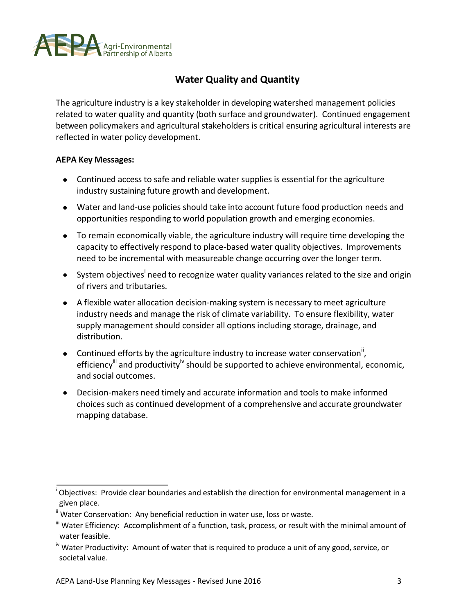

# **Water Quality and Quantity**

The agriculture industry is a key stakeholder in developing watershed management policies related to water quality and quantity (both surface and groundwater). Continued engagement between policymakers and agricultural stakeholders is critical ensuring agricultural interests are reflected in water policy development.

- Continued access to safe and reliable water supplies is essential for the agriculture industry sustaining future growth and development.
- Water and land-use policies should take into account future food production needs and opportunities responding to world population growth and emerging economies.
- To remain economically viable, the agriculture industry will require time developing the capacity to effectively respond to place-based water quality objectives. Improvements need to be incremental with measureable change occurring over the longer term.
- System objectives<sup>i</sup> need to recognize water quality variances related to the size and origin of rivers and tributaries.
- A flexible water allocation decision-making system is necessary to meet agriculture industry needs and manage the risk of climate variability. To ensure flexibility, water supply management should consider all options including storage, drainage, and distribution.
- Continued efforts by the agriculture industry to increase water conservation<sup>ii</sup>, efficiency<sup>iii</sup> and productivity<sup>iv</sup> should be supported to achieve environmental, economic, and social outcomes.
- Decision-makers need timely and accurate information and tools to make informed choices such as continued development of a comprehensive and accurate groundwater mapping database.

Objectives: Provide clear boundaries and establish the direction for environmental management in a given place.

<sup>&</sup>lt;sup>ii</sup> Water Conservation: Any beneficial reduction in water use, loss or waste.

<sup>&</sup>quot; Water Efficiency: Accomplishment of a function, task, process, or result with the minimal amount of water feasible.

iv Water Productivity: Amount of water that is required to produce a unit of any good, service, or societal value.